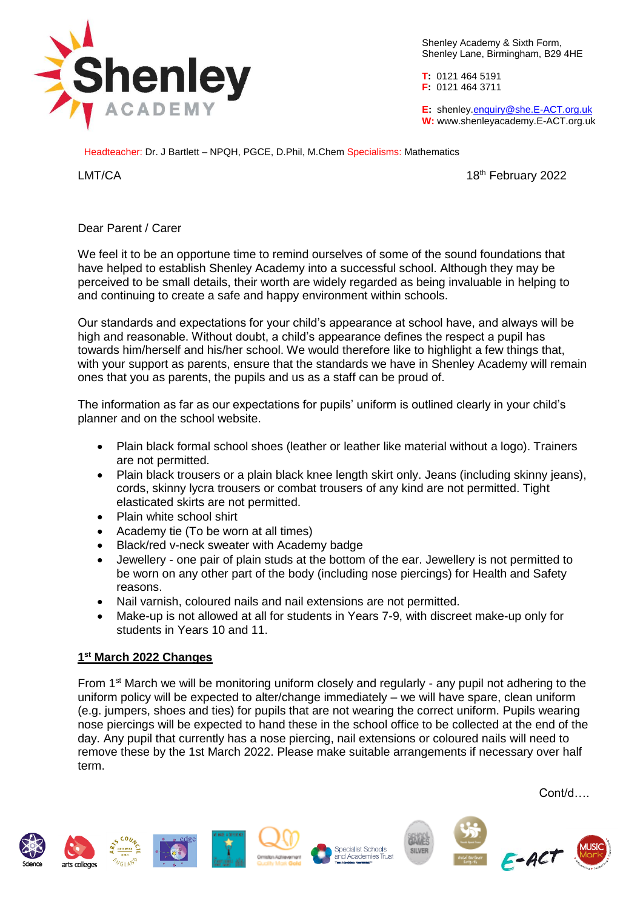

Shenley Academy & Sixth Form, Shenley Lane, Birmingham, B29 4HE

**T:** 0121 464 5191 **F:** 0121 464 3711

**E:** shenle[y.enquiry@she.E-ACT.org.uk](mailto:enquiry@she.E-ACT.org.uk) **W:** www.shenleyacademy.E-ACT.org.uk

Headteacher: Dr. J Bartlett – NPQH, PGCE, D.Phil, M.Chem Specialisms: Mathematics

LMT/CA 2022

## Dear Parent / Carer

We feel it to be an opportune time to remind ourselves of some of the sound foundations that have helped to establish Shenley Academy into a successful school. Although they may be perceived to be small details, their worth are widely regarded as being invaluable in helping to and continuing to create a safe and happy environment within schools.

Our standards and expectations for your child's appearance at school have, and always will be high and reasonable. Without doubt, a child's appearance defines the respect a pupil has towards him/herself and his/her school. We would therefore like to highlight a few things that, with your support as parents, ensure that the standards we have in Shenley Academy will remain ones that you as parents, the pupils and us as a staff can be proud of.

The information as far as our expectations for pupils' uniform is outlined clearly in your child's planner and on the school website.

- Plain black formal school shoes (leather or leather like material without a logo). Trainers are not permitted.
- Plain black trousers or a plain black knee length skirt only. Jeans (including skinny jeans), cords, skinny lycra trousers or combat trousers of any kind are not permitted. Tight elasticated skirts are not permitted.
- Plain white school shirt
- Academy tie (To be worn at all times)
- Black/red v-neck sweater with Academy badge
- Jewellery one pair of plain studs at the bottom of the ear. Jewellery is not permitted to be worn on any other part of the body (including nose piercings) for Health and Safety reasons.
- Nail varnish, coloured nails and nail extensions are not permitted.
- Make-up is not allowed at all for students in Years 7-9, with discreet make-up only for students in Years 10 and 11.

## **1 st March 2022 Changes**

From 1st March we will be monitoring uniform closely and regularly - any pupil not adhering to the uniform policy will be expected to alter/change immediately – we will have spare, clean uniform (e.g. jumpers, shoes and ties) for pupils that are not wearing the correct uniform. Pupils wearing nose piercings will be expected to hand these in the school office to be collected at the end of the day. Any pupil that currently has a nose piercing, nail extensions or coloured nails will need to remove these by the 1st March 2022. Please make suitable arrangements if necessary over half term.

Cont/d….